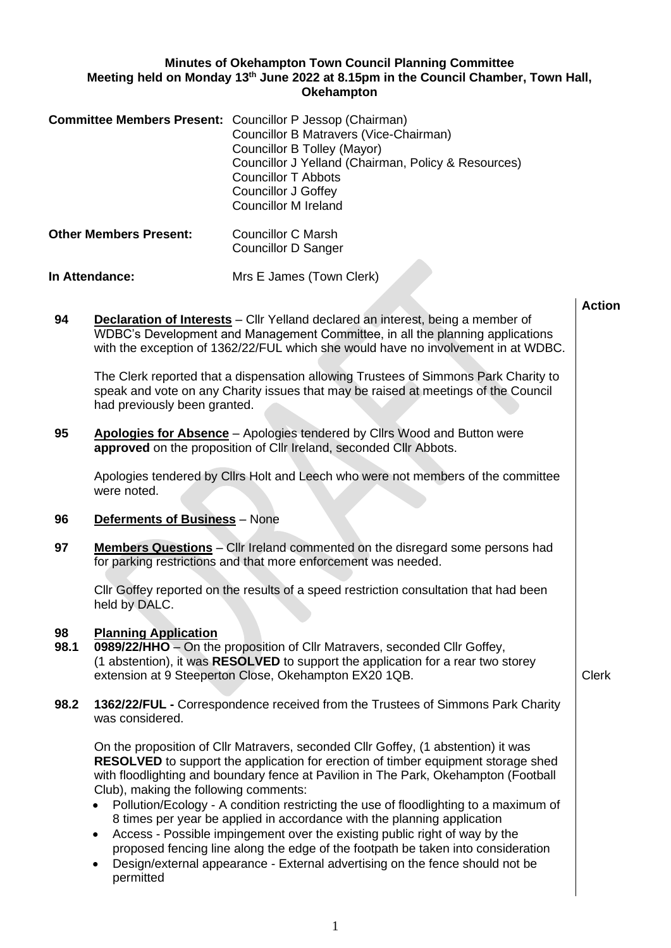## **Minutes of Okehampton Town Council Planning Committee Meeting held on Monday 13th June 2022 at 8.15pm in the Council Chamber, Town Hall, Okehampton**

|                               | <b>Committee Members Present:</b> Councillor P Jessop (Chairman)<br>Councillor B Matravers (Vice-Chairman)<br>Councillor B Tolley (Mayor)<br>Councillor J Yelland (Chairman, Policy & Resources)<br>Councillor T Abbots<br><b>Councillor J Goffey</b><br>Councillor M Ireland |
|-------------------------------|-------------------------------------------------------------------------------------------------------------------------------------------------------------------------------------------------------------------------------------------------------------------------------|
| <b>Other Members Present:</b> | Councillor C Marsh<br><b>Councillor D Sanger</b>                                                                                                                                                                                                                              |
| <b>In Attendance:</b>         | Mrs E James (Town Clerk)                                                                                                                                                                                                                                                      |

**94 Declaration of Interests** – Cllr Yelland declared an interest, being a member of WDBC's Development and Management Committee, in all the planning applications with the exception of 1362/22/FUL which she would have no involvement in at WDBC.

The Clerk reported that a dispensation allowing Trustees of Simmons Park Charity to speak and vote on any Charity issues that may be raised at meetings of the Council had previously been granted.

**95 Apologies for Absence** – Apologies tendered by Cllrs Wood and Button were **approved** on the proposition of Cllr Ireland, seconded Cllr Abbots.

Apologies tendered by Cllrs Holt and Leech who were not members of the committee were noted.

- **96 Deferments of Business** None
- **97 Members Questions** Cllr Ireland commented on the disregard some persons had for parking restrictions and that more enforcement was needed.

Cllr Goffey reported on the results of a speed restriction consultation that had been held by DALC.

## **98 Planning Application**

- **98.1 0989/22/HHO** On the proposition of Cllr Matravers, seconded Cllr Goffey, (1 abstention), it was **RESOLVED** to support the application for a rear two storey extension at 9 Steeperton Close, Okehampton EX20 1QB. Cases and Clerk
- **98.2 1362/22/FUL -** Correspondence received from the Trustees of Simmons Park Charity was considered.

On the proposition of Cllr Matravers, seconded Cllr Goffey, (1 abstention) it was **RESOLVED** to support the application for erection of timber equipment storage shed with floodlighting and boundary fence at Pavilion in The Park, Okehampton (Football Club), making the following comments:

- Pollution/Ecology A condition restricting the use of floodlighting to a maximum of 8 times per year be applied in accordance with the planning application
- Access Possible impingement over the existing public right of way by the proposed fencing line along the edge of the footpath be taken into consideration
- Design/external appearance External advertising on the fence should not be permitted

**Action**